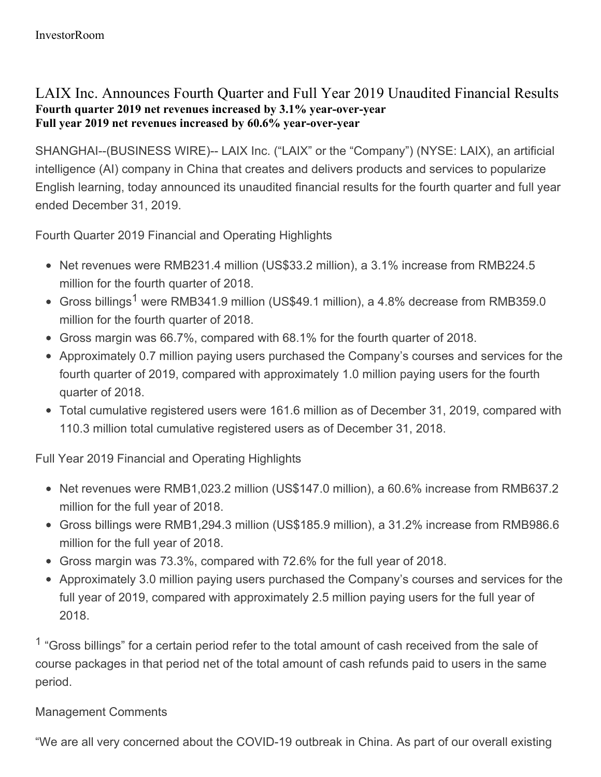# LAIX Inc. Announces Fourth Quarter and Full Year 2019 Unaudited Financial Results **Fourth quarter 2019 net revenues increased by 3.1% year-over-year Full year 2019 net revenues increased by 60.6% year-over-year**

SHANGHAI--(BUSINESS WIRE)-- LAIX Inc. ("LAIX" or the "Company") (NYSE: LAIX), an artificial intelligence (AI) company in China that creates and delivers products and services to popularize English learning, today announced its unaudited financial results for the fourth quarter and full year ended December 31, 2019.

Fourth Quarter 2019 Financial and Operating Highlights

- Net revenues were RMB231.4 million (US\$33.2 million), a 3.1% increase from RMB224.5 million for the fourth quarter of 2018.
- Gross billings<sup>1</sup> were RMB341.9 million (US\$49.1 million), a 4.8% decrease from RMB359.0 million for the fourth quarter of 2018.
- Gross margin was 66.7%, compared with 68.1% for the fourth quarter of 2018.
- Approximately 0.7 million paying users purchased the Company's courses and services for the fourth quarter of 2019, compared with approximately 1.0 million paying users for the fourth quarter of 2018.
- Total cumulative registered users were 161.6 million as of December 31, 2019, compared with 110.3 million total cumulative registered users as of December 31, 2018.

Full Year 2019 Financial and Operating Highlights

- Net revenues were RMB1,023.2 million (US\$147.0 million), a 60.6% increase from RMB637.2 million for the full year of 2018.
- Gross billings were RMB1,294.3 million (US\$185.9 million), a 31.2% increase from RMB986.6 million for the full year of 2018.
- Gross margin was 73.3%, compared with 72.6% for the full year of 2018.
- Approximately 3.0 million paying users purchased the Company's courses and services for the full year of 2019, compared with approximately 2.5 million paying users for the full year of 2018.

 $1$  "Gross billings" for a certain period refer to the total amount of cash received from the sale of course packages in that period net of the total amount of cash refunds paid to users in the same period.

## Management Comments

"We are all very concerned about the COVID-19 outbreak in China. As part of our overall existing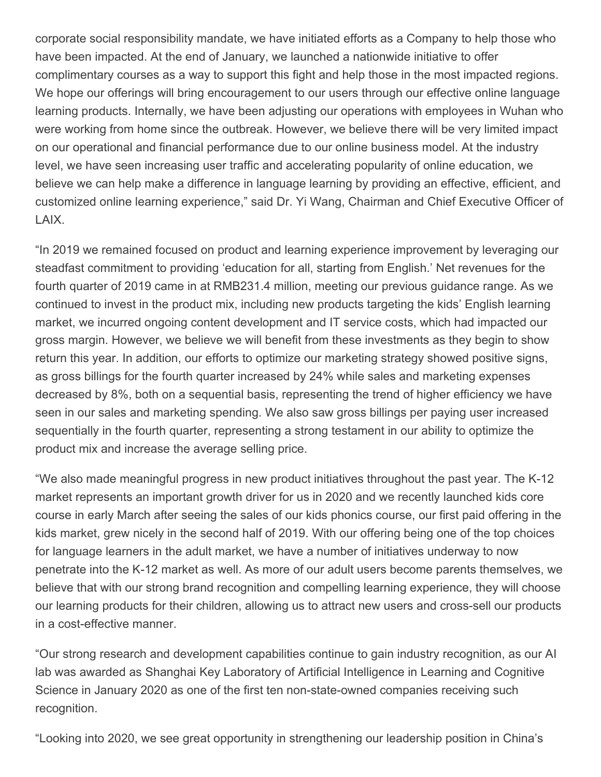corporate social responsibility mandate, we have initiated efforts as a Company to help those who have been impacted. At the end of January, we launched a nationwide initiative to offer complimentary courses as a way to support this fight and help those in the most impacted regions. We hope our offerings will bring encouragement to our users through our effective online language learning products. Internally, we have been adjusting our operations with employees in Wuhan who were working from home since the outbreak. However, we believe there will be very limited impact on our operational and financial performance due to our online business model. At the industry level, we have seen increasing user traffic and accelerating popularity of online education, we believe we can help make a difference in language learning by providing an effective, efficient, and customized online learning experience," said Dr. Yi Wang, Chairman and Chief Executive Officer of LAIX.

"In 2019 we remained focused on product and learning experience improvement by leveraging our steadfast commitment to providing 'education for all, starting from English.' Net revenues for the fourth quarter of 2019 came in at RMB231.4 million, meeting our previous guidance range. As we continued to invest in the product mix, including new products targeting the kids' English learning market, we incurred ongoing content development and IT service costs, which had impacted our gross margin. However, we believe we will benefit from these investments as they begin to show return this year. In addition, our efforts to optimize our marketing strategy showed positive signs, as gross billings for the fourth quarter increased by 24% while sales and marketing expenses decreased by 8%, both on a sequential basis, representing the trend of higher efficiency we have seen in our sales and marketing spending. We also saw gross billings per paying user increased sequentially in the fourth quarter, representing a strong testament in our ability to optimize the product mix and increase the average selling price.

"We also made meaningful progress in new product initiatives throughout the past year. The K-12 market represents an important growth driver for us in 2020 and we recently launched kids core course in early March after seeing the sales of our kids phonics course, our first paid offering in the kids market, grew nicely in the second half of 2019. With our offering being one of the top choices for language learners in the adult market, we have a number of initiatives underway to now penetrate into the K-12 market as well. As more of our adult users become parents themselves, we believe that with our strong brand recognition and compelling learning experience, they will choose our learning products for their children, allowing us to attract new users and cross-sell our products in a cost-effective manner.

"Our strong research and development capabilities continue to gain industry recognition, as our AI lab was awarded as Shanghai Key Laboratory of Artificial Intelligence in Learning and Cognitive Science in January 2020 as one of the first ten non-state-owned companies receiving such recognition.

"Looking into 2020, we see great opportunity in strengthening our leadership position in China's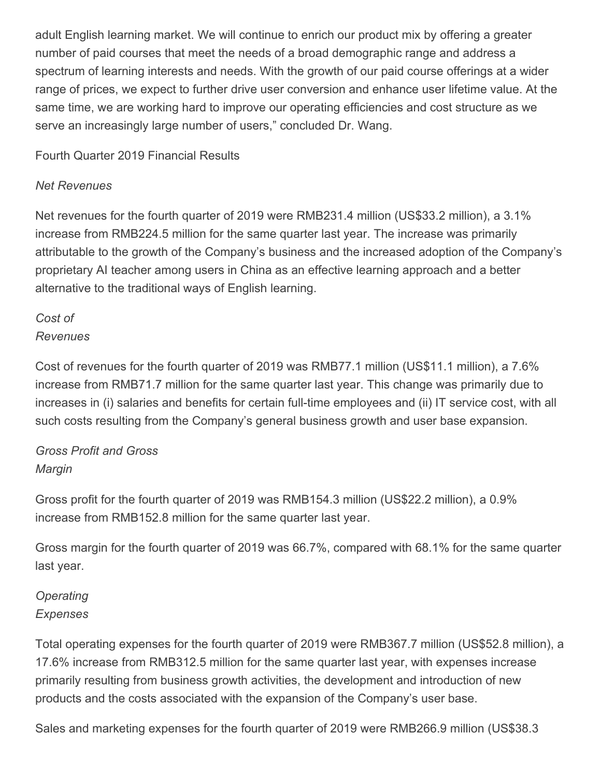adult English learning market. We will continue to enrich our product mix by offering a greater number of paid courses that meet the needs of a broad demographic range and address a spectrum of learning interests and needs. With the growth of our paid course offerings at a wider range of prices, we expect to further drive user conversion and enhance user lifetime value. At the same time, we are working hard to improve our operating efficiencies and cost structure as we serve an increasingly large number of users," concluded Dr. Wang.

Fourth Quarter 2019 Financial Results

### *Net Revenues*

Net revenues for the fourth quarter of 2019 were RMB231.4 million (US\$33.2 million), a 3.1% increase from RMB224.5 million for the same quarter last year. The increase was primarily attributable to the growth of the Company's business and the increased adoption of the Company's proprietary AI teacher among users in China as an effective learning approach and a better alternative to the traditional ways of English learning.

#### *Cost of Revenues*

Cost of revenues for the fourth quarter of 2019 was RMB77.1 million (US\$11.1 million), a 7.6% increase from RMB71.7 million for the same quarter last year. This change was primarily due to increases in (i) salaries and benefits for certain full-time employees and (ii) IT service cost, with all such costs resulting from the Company's general business growth and user base expansion.

# *Gross Profit and Gross Margin*

Gross profit for the fourth quarter of 2019 was RMB154.3 million (US\$22.2 million), a 0.9% increase from RMB152.8 million for the same quarter last year.

Gross margin for the fourth quarter of 2019 was 66.7%, compared with 68.1% for the same quarter last year.

# *Operating Expenses*

Total operating expenses for the fourth quarter of 2019 were RMB367.7 million (US\$52.8 million), a 17.6% increase from RMB312.5 million for the same quarter last year, with expenses increase primarily resulting from business growth activities, the development and introduction of new products and the costs associated with the expansion of the Company's user base.

Sales and marketing expenses for the fourth quarter of 2019 were RMB266.9 million (US\$38.3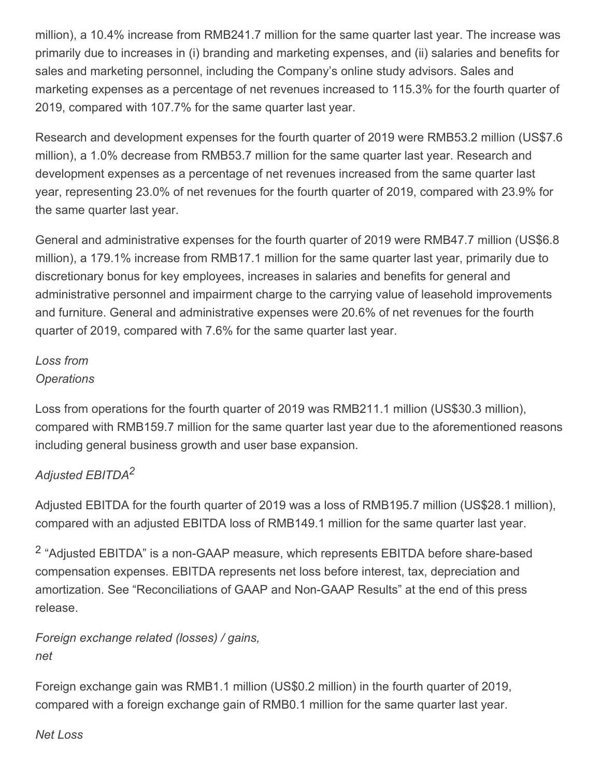million), a 10.4% increase from RMB241.7 million for the same quarter last year. The increase was primarily due to increases in (i) branding and marketing expenses, and (ii) salaries and benefits for sales and marketing personnel, including the Company's online study advisors. Sales and marketing expenses as a percentage of net revenues increased to 115.3% for the fourth quarter of 2019, compared with 107.7% for the same quarter last year.

Research and development expenses for the fourth quarter of 2019 were RMB53.2 million (US\$7.6 million), a 1.0% decrease from RMB53.7 million for the same quarter last year. Research and development expenses as a percentage of net revenues increased from the same quarter last year, representing 23.0% of net revenues for the fourth quarter of 2019, compared with 23.9% for the same quarter last year.

General and administrative expenses for the fourth quarter of 2019 were RMB47.7 million (US\$6.8 million), a 179.1% increase from RMB17.1 million for the same quarter last year, primarily due to discretionary bonus for key employees, increases in salaries and benefits for general and administrative personnel and impairment charge to the carrying value of leasehold improvements and furniture. General and administrative expenses were 20.6% of net revenues for the fourth quarter of 2019, compared with 7.6% for the same quarter last year.

# *Loss from Operations*

Loss from operations for the fourth quarter of 2019 was RMB211.1 million (US\$30.3 million), compared with RMB159.7 million for the same quarter last year due to the aforementioned reasons including general business growth and user base expansion.

# *Adjusted EBITDA 2*

Adjusted EBITDA for the fourth quarter of 2019 was a loss of RMB195.7 million (US\$28.1 million), compared with an adjusted EBITDA loss of RMB149.1 million for the same quarter last year.

 $2$  "Adjusted EBITDA" is a non-GAAP measure, which represents EBITDA before share-based compensation expenses. EBITDA represents net loss before interest, tax, depreciation and amortization. See "Reconciliations of GAAP and Non-GAAP Results" at the end of this press release.

*Foreign exchange related (losses) / gains, net*

Foreign exchange gain was RMB1.1 million (US\$0.2 million) in the fourth quarter of 2019, compared with a foreign exchange gain of RMB0.1 million for the same quarter last year.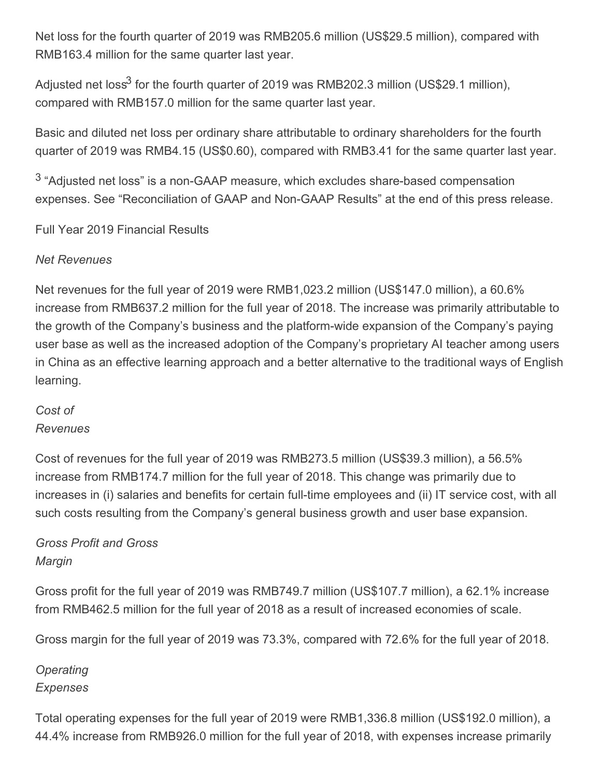Net loss for the fourth quarter of 2019 was RMB205.6 million (US\$29.5 million), compared with RMB163.4 million for the same quarter last year.

Adjusted net loss $^3$  for the fourth quarter of 2019 was RMB202.3 million (US\$29.1 million), compared with RMB157.0 million for the same quarter last year.

Basic and diluted net loss per ordinary share attributable to ordinary shareholders for the fourth quarter of 2019 was RMB4.15 (US\$0.60), compared with RMB3.41 for the same quarter last year.

 $3$  "Adjusted net loss" is a non-GAAP measure, which excludes share-based compensation expenses. See "Reconciliation of GAAP and Non-GAAP Results" at the end of this press release.

Full Year 2019 Financial Results

#### *Net Revenues*

Net revenues for the full year of 2019 were RMB1,023.2 million (US\$147.0 million), a 60.6% increase from RMB637.2 million for the full year of 2018. The increase was primarily attributable to the growth of the Company's business and the platform-wide expansion of the Company's paying user base as well as the increased adoption of the Company's proprietary AI teacher among users in China as an effective learning approach and a better alternative to the traditional ways of English learning.

# *Cost of*

## *Revenues*

Cost of revenues for the full year of 2019 was RMB273.5 million (US\$39.3 million), a 56.5% increase from RMB174.7 million for the full year of 2018. This change was primarily due to increases in (i) salaries and benefits for certain full-time employees and (ii) IT service cost, with all such costs resulting from the Company's general business growth and user base expansion.

# *Gross Profit and Gross Margin*

Gross profit for the full year of 2019 was RMB749.7 million (US\$107.7 million), a 62.1% increase from RMB462.5 million for the full year of 2018 as a result of increased economies of scale.

Gross margin for the full year of 2019 was 73.3%, compared with 72.6% for the full year of 2018.

# *Operating Expenses*

Total operating expenses for the full year of 2019 were RMB1,336.8 million (US\$192.0 million), a 44.4% increase from RMB926.0 million for the full year of 2018, with expenses increase primarily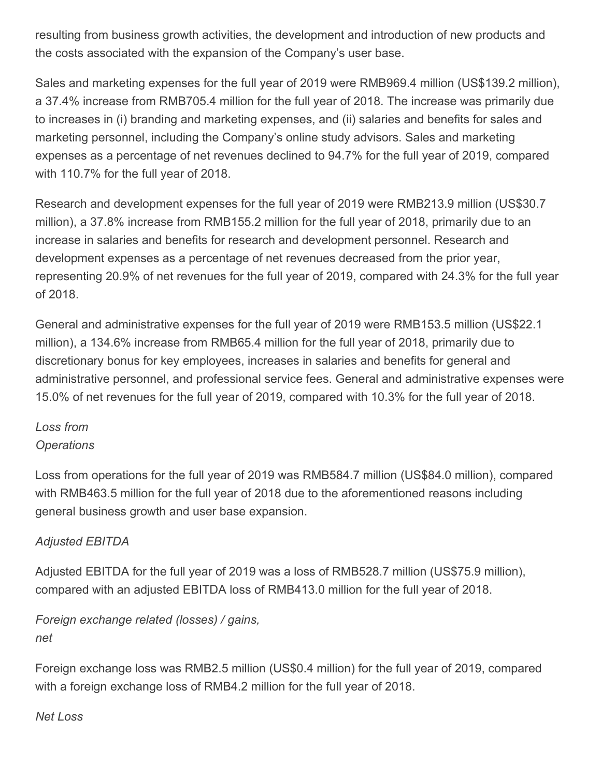resulting from business growth activities, the development and introduction of new products and the costs associated with the expansion of the Company's user base.

Sales and marketing expenses for the full year of 2019 were RMB969.4 million (US\$139.2 million), a 37.4% increase from RMB705.4 million for the full year of 2018. The increase was primarily due to increases in (i) branding and marketing expenses, and (ii) salaries and benefits for sales and marketing personnel, including the Company's online study advisors. Sales and marketing expenses as a percentage of net revenues declined to 94.7% for the full year of 2019, compared with 110.7% for the full year of 2018.

Research and development expenses for the full year of 2019 were RMB213.9 million (US\$30.7 million), a 37.8% increase from RMB155.2 million for the full year of 2018, primarily due to an increase in salaries and benefits for research and development personnel. Research and development expenses as a percentage of net revenues decreased from the prior year, representing 20.9% of net revenues for the full year of 2019, compared with 24.3% for the full year of 2018.

General and administrative expenses for the full year of 2019 were RMB153.5 million (US\$22.1 million), a 134.6% increase from RMB65.4 million for the full year of 2018, primarily due to discretionary bonus for key employees, increases in salaries and benefits for general and administrative personnel, and professional service fees. General and administrative expenses were 15.0% of net revenues for the full year of 2019, compared with 10.3% for the full year of 2018.

# *Loss from Operations*

Loss from operations for the full year of 2019 was RMB584.7 million (US\$84.0 million), compared with RMB463.5 million for the full year of 2018 due to the aforementioned reasons including general business growth and user base expansion.

# *Adjusted EBITDA*

Adjusted EBITDA for the full year of 2019 was a loss of RMB528.7 million (US\$75.9 million), compared with an adjusted EBITDA loss of RMB413.0 million for the full year of 2018.

*Foreign exchange related (losses) / gains, net*

Foreign exchange loss was RMB2.5 million (US\$0.4 million) for the full year of 2019, compared with a foreign exchange loss of RMB4.2 million for the full year of 2018.

## *Net Loss*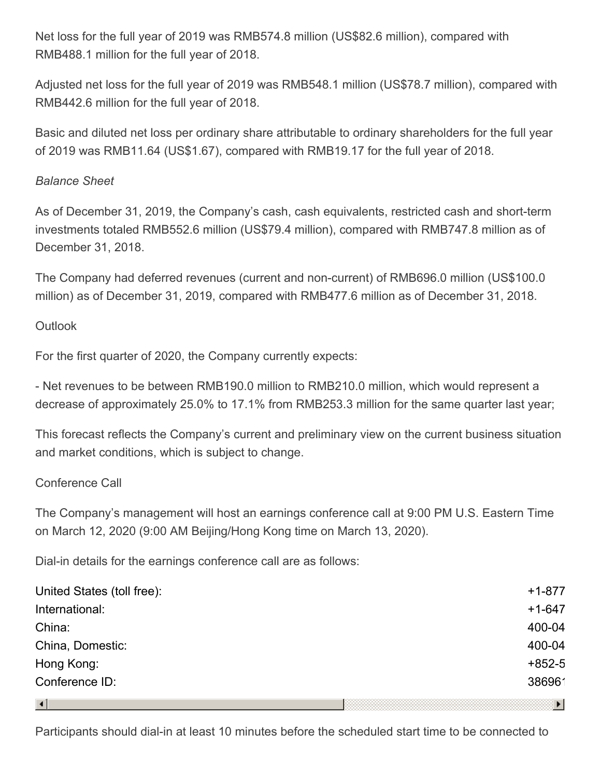Net loss for the full year of 2019 was RMB574.8 million (US\$82.6 million), compared with RMB488.1 million for the full year of 2018.

Adjusted net loss for the full year of 2019 was RMB548.1 million (US\$78.7 million), compared with RMB442.6 million for the full year of 2018.

Basic and diluted net loss per ordinary share attributable to ordinary shareholders for the full year of 2019 was RMB11.64 (US\$1.67), compared with RMB19.17 for the full year of 2018.

#### *Balance Sheet*

As of December 31, 2019, the Company's cash, cash equivalents, restricted cash and short-term investments totaled RMB552.6 million (US\$79.4 million), compared with RMB747.8 million as of December 31, 2018.

The Company had deferred revenues (current and non-current) of RMB696.0 million (US\$100.0 million) as of December 31, 2019, compared with RMB477.6 million as of December 31, 2018.

#### **Outlook**

For the first quarter of 2020, the Company currently expects:

- Net revenues to be between RMB190.0 million to RMB210.0 million, which would represent a decrease of approximately 25.0% to 17.1% from RMB253.3 million for the same quarter last year;

This forecast reflects the Company's current and preliminary view on the current business situation and market conditions, which is subject to change.

#### Conference Call

The Company's management will host an earnings conference call at 9:00 PM U.S. Eastern Time on March 12, 2020 (9:00 AM Beijing/Hong Kong time on March 13, 2020).

Dial-in details for the earnings conference call are as follows:

| $\blacksquare$             | $\mathbf{A}$ |
|----------------------------|--------------|
| Conference ID:             | 386961       |
| Hong Kong:                 | $+852-5$     |
| China, Domestic:           | 400-04       |
| China:                     | 400-04       |
| International:             | $+1-647$     |
| United States (toll free): | $+1 - 877$   |
|                            |              |

Participants should dial-in at least 10 minutes before the scheduled start time to be connected to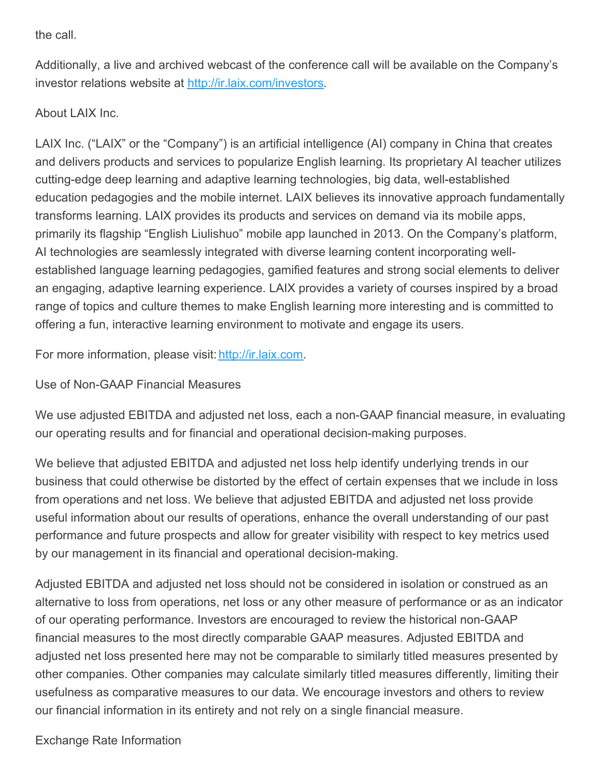the call.

Additionally, a live and archived webcast of the conference call will be available on the Company's investor relations website at [http://ir.laix.com/investors](https://cts.businesswire.com/ct/CT?id=smartlink&url=http%3A%2F%2Fir.laix.com%2Finvestors&esheet=52188049&newsitemid=20200312005855&lan=en-US&anchor=http%3A%2F%2Fir.laix.com%2Finvestors&index=1&md5=0758ddacc8b787d110c1762dcdb3f278).

# About LAIX Inc.

LAIX Inc. ("LAIX" or the "Company") is an artificial intelligence (AI) company in China that creates and delivers products and services to popularize English learning. Its proprietary AI teacher utilizes cutting-edge deep learning and adaptive learning technologies, big data, well-established education pedagogies and the mobile internet. LAIX believes its innovative approach fundamentally transforms learning. LAIX provides its products and services on demand via its mobile apps, primarily its flagship "English Liulishuo" mobile app launched in 2013. On the Company's platform, AI technologies are seamlessly integrated with diverse learning content incorporating wellestablished language learning pedagogies, gamified features and strong social elements to deliver an engaging, adaptive learning experience. LAIX provides a variety of courses inspired by a broad range of topics and culture themes to make English learning more interesting and is committed to offering a fun, interactive learning environment to motivate and engage its users.

For more information, please visit: [http://ir.laix.com](https://cts.businesswire.com/ct/CT?id=smartlink&url=http%3A%2F%2Fir.laix.com&esheet=52188049&newsitemid=20200312005855&lan=en-US&anchor=http%3A%2F%2Fir.laix.com&index=2&md5=05fd4866f4e76cd8d026cd3e391961e7).

Use of Non-GAAP Financial Measures

We use adjusted EBITDA and adjusted net loss, each a non-GAAP financial measure, in evaluating our operating results and for financial and operational decision-making purposes.

We believe that adjusted EBITDA and adjusted net loss help identify underlying trends in our business that could otherwise be distorted by the effect of certain expenses that we include in loss from operations and net loss. We believe that adjusted EBITDA and adjusted net loss provide useful information about our results of operations, enhance the overall understanding of our past performance and future prospects and allow for greater visibility with respect to key metrics used by our management in its financial and operational decision-making.

Adjusted EBITDA and adjusted net loss should not be considered in isolation or construed as an alternative to loss from operations, net loss or any other measure of performance or as an indicator of our operating performance. Investors are encouraged to review the historical non-GAAP financial measures to the most directly comparable GAAP measures. Adjusted EBITDA and adjusted net loss presented here may not be comparable to similarly titled measures presented by other companies. Other companies may calculate similarly titled measures differently, limiting their usefulness as comparative measures to our data. We encourage investors and others to review our financial information in its entirety and not rely on a single financial measure.

Exchange Rate Information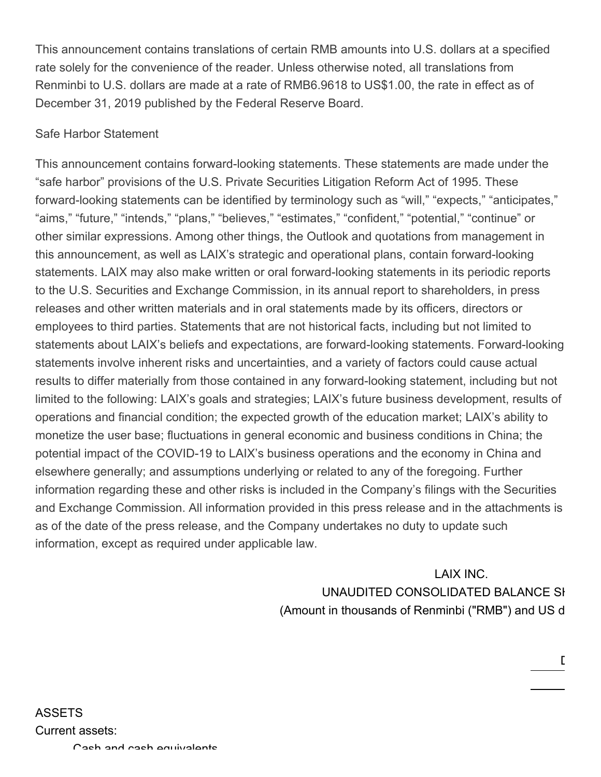This announcement contains translations of certain RMB amounts into U.S. dollars at a specified rate solely for the convenience of the reader. Unless otherwise noted, all translations from Renminbi to U.S. dollars are made at a rate of RMB6.9618 to US\$1.00, the rate in effect as of December 31, 2019 published by the Federal Reserve Board.

#### Safe Harbor Statement

This announcement contains forward-looking statements. These statements are made under the "safe harbor" provisions of the U.S. Private Securities Litigation Reform Act of 1995. These forward-looking statements can be identified by terminology such as "will," "expects," "anticipates," "aims," "future," "intends," "plans," "believes," "estimates," "confident," "potential," "continue" or other similar expressions. Among other things, the Outlook and quotations from management in this announcement, as well as LAIX's strategic and operational plans, contain forward-looking statements. LAIX may also make written or oral forward-looking statements in its periodic reports to the U.S. Securities and Exchange Commission, in its annual report to shareholders, in press releases and other written materials and in oral statements made by its officers, directors or employees to third parties. Statements that are not historical facts, including but not limited to statements about LAIX's beliefs and expectations, are forward-looking statements. Forward-looking statements involve inherent risks and uncertainties, and a variety of factors could cause actual results to differ materially from those contained in any forward-looking statement, including but not limited to the following: LAIX's goals and strategies; LAIX's future business development, results of operations and financial condition; the expected growth of the education market; LAIX's ability to monetize the user base; fluctuations in general economic and business conditions in China; the potential impact of the COVID-19 to LAIX's business operations and the economy in China and elsewhere generally; and assumptions underlying or related to any of the foregoing. Further information regarding these and other risks is included in the Company's filings with the Securities and Exchange Commission. All information provided in this press release and in the attachments is as of the date of the press release, and the Company undertakes no duty to update such information, except as required under applicable law.

> LAIX INC. UNAUDITED CONSOLIDATED BALANCE SH (Amount in thousands of Renminbi ("RMB") and US d

> > December 31, 2018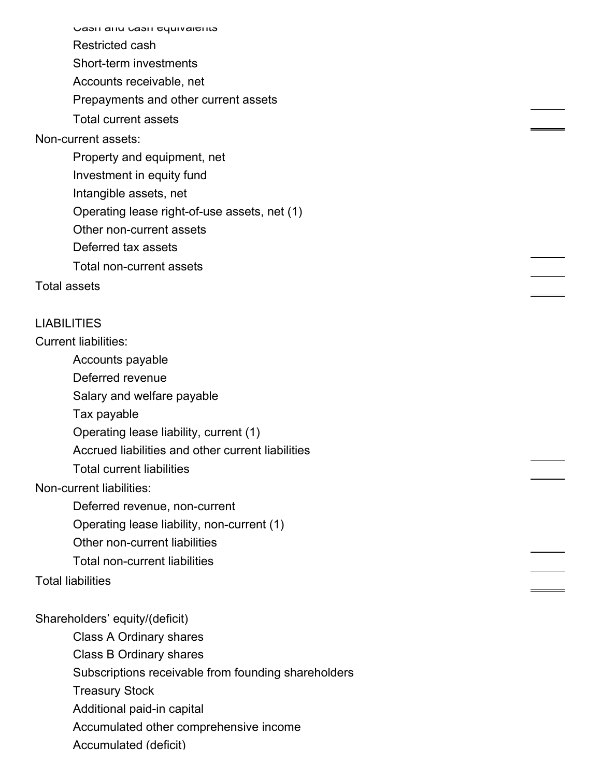Cash and cash equivalents Restricted cash Short-term investments Accounts receivable, net Prepayments and other current assets Total current assets Non-current assets: Property and equipment, net Investment in equity fund Intangible assets, net Operating lease right-of-use assets, net (1) Other non-current assets Deferred tax assets Total non-current assets

Total assets

#### LIABILITIES

Current liabilities:

Accounts payable Deferred revenue

Salary and welfare payable

Tax payable

Operating lease liability, current (1)

Accrued liabilities and other current liabilities

Total current liabilities

Non-current liabilities:

Deferred revenue, non-current

Operating lease liability, non-current (1)

Other non-current liabilities

Total non-current liabilities

Total liabilities

Shareholders' equity/(deficit)

Class A Ordinary shares

Class B Ordinary shares

Subscriptions receivable from founding shareholders

Treasury Stock

Additional paid-in capital

Accumulated other comprehensive income

Accumulated (deficit)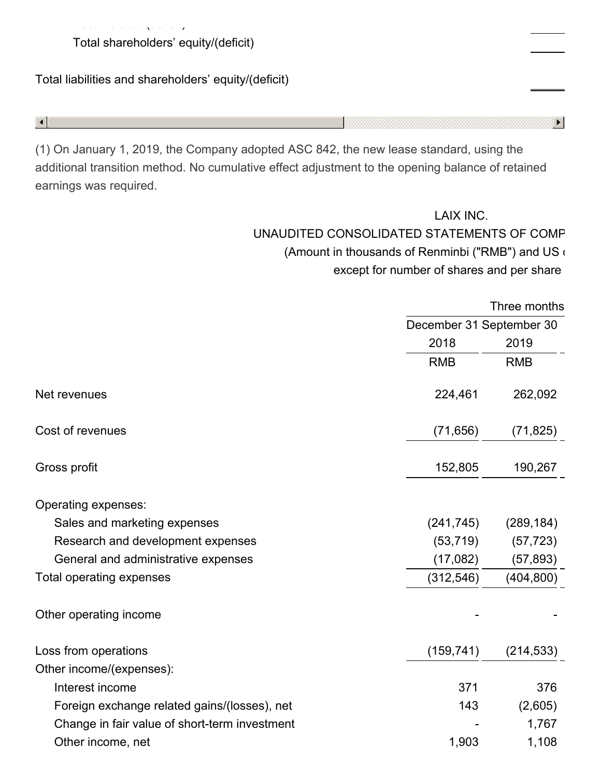$\overline{\phantom{a}}$ Total shareholders' equity/(deficit)

Total liabilities and shareholders' equity/(deficit)

 $\vert \vert$ 

(1) On January 1, 2019, the Company adopted ASC 842, the new lease standard, using the additional transition method. No cumulative effect adjustment to the opening balance of retained earnings was required.

# LAIX INC. UNAUDITED CONSOLIDATED STATEMENTS OF COMP (Amount in thousands of Renminbi ("RMB") and US  $\alpha$ except for number of shares and per share

 $\blacktriangleright$ 

|                                               |                          | Three months |  |
|-----------------------------------------------|--------------------------|--------------|--|
|                                               | December 31 September 30 |              |  |
|                                               | 2018                     | 2019         |  |
|                                               | <b>RMB</b>               | <b>RMB</b>   |  |
| Net revenues                                  | 224,461                  | 262,092      |  |
| Cost of revenues                              | (71, 656)                | (71, 825)    |  |
| Gross profit                                  | 152,805                  | 190,267      |  |
| Operating expenses:                           |                          |              |  |
| Sales and marketing expenses                  | (241, 745)               | (289, 184)   |  |
| Research and development expenses             | (53, 719)                | (57, 723)    |  |
| General and administrative expenses           | (17,082)                 | (57, 893)    |  |
| Total operating expenses                      | (312, 546)               | (404, 800)   |  |
| Other operating income                        |                          |              |  |
| Loss from operations                          | (159, 741)               | (214, 533)   |  |
| Other income/(expenses):                      |                          |              |  |
| Interest income                               | 371                      | 376          |  |
| Foreign exchange related gains/(losses), net  | 143                      | (2,605)      |  |
| Change in fair value of short-term investment |                          | 1,767        |  |
| Other income, net                             | 1,903                    | 1,108        |  |
|                                               |                          |              |  |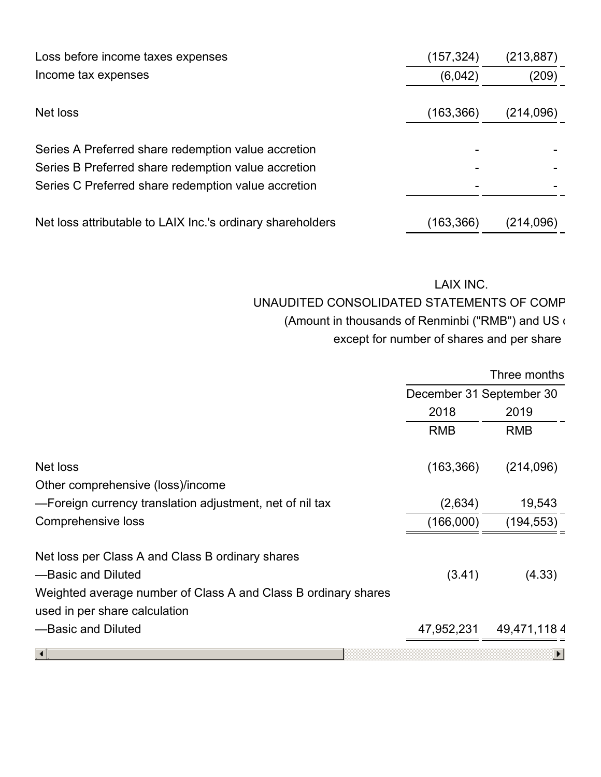| Loss before income taxes expenses                          | (157, 324) | (213,887) |
|------------------------------------------------------------|------------|-----------|
| Income tax expenses                                        | (6,042)    | (209)     |
| Net loss                                                   | (163,366)  | (214,096) |
| Series A Preferred share redemption value accretion        |            |           |
| Series B Preferred share redemption value accretion        |            |           |
| Series C Preferred share redemption value accretion        |            |           |
| Net loss attributable to LAIX Inc.'s ordinary shareholders | (163,366)  | (214,096) |
|                                                            |            |           |

LAIX INC.

UNAUDITED CONSOLIDATED STATEMENTS OF COMP

(Amount in thousands of Renminbi ("RMB") and US  $\alpha$ 

except for number of shares and per share

|                                                                | Three months |                          |  |
|----------------------------------------------------------------|--------------|--------------------------|--|
|                                                                |              | December 31 September 30 |  |
|                                                                | 2018         | 2019                     |  |
|                                                                | <b>RMB</b>   | <b>RMB</b>               |  |
| Net loss                                                       | (163, 366)   | (214, 096)               |  |
| Other comprehensive (loss)/income                              |              |                          |  |
| -Foreign currency translation adjustment, net of nil tax       | (2,634)      | 19,543                   |  |
| Comprehensive loss                                             | (166,000)    | (194, 553)               |  |
| Net loss per Class A and Class B ordinary shares               |              |                          |  |
| -Basic and Diluted                                             | (3.41)       | (4.33)                   |  |
| Weighted average number of Class A and Class B ordinary shares |              |                          |  |
| used in per share calculation                                  |              |                          |  |
| -Basic and Diluted                                             | 47,952,231   | 49,471,1184              |  |
| $\vert \vert$                                                  |              |                          |  |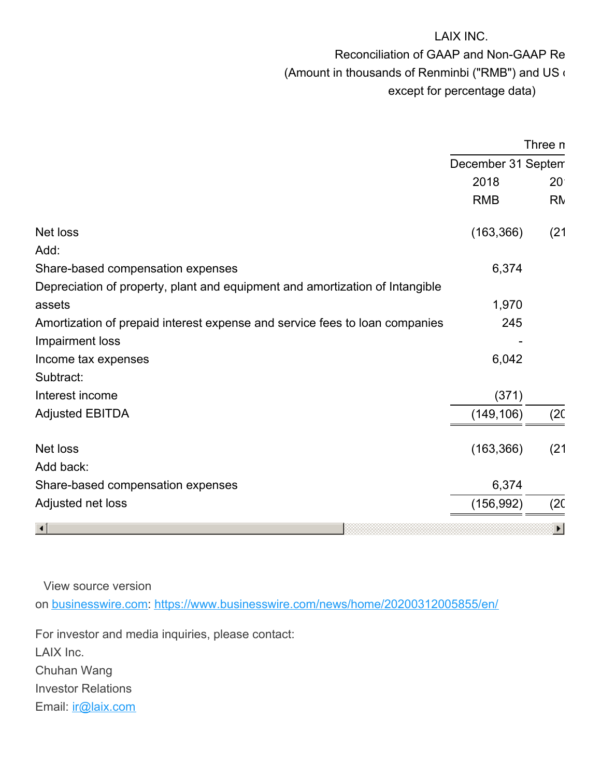#### LAIX INC.

Reconciliation of GAAP and Non-GAAP Re (Amount in thousands of Renminbi ("RMB") and US  $($ except for percentage data)

|                                                                              |            | Three n<br>December 31 Septem |  |
|------------------------------------------------------------------------------|------------|-------------------------------|--|
|                                                                              |            |                               |  |
|                                                                              | 2018       | 20 <sup>1</sup>               |  |
|                                                                              | <b>RMB</b> | <b>RN</b>                     |  |
| Net loss                                                                     | (163, 366) | (21)                          |  |
| Add:                                                                         |            |                               |  |
| Share-based compensation expenses                                            | 6,374      |                               |  |
| Depreciation of property, plant and equipment and amortization of Intangible |            |                               |  |
| assets                                                                       | 1,970      |                               |  |
| Amortization of prepaid interest expense and service fees to loan companies  | 245        |                               |  |
| Impairment loss                                                              |            |                               |  |
| Income tax expenses                                                          | 6,042      |                               |  |
| Subtract:                                                                    |            |                               |  |
| Interest income                                                              | (371)      |                               |  |
| <b>Adjusted EBITDA</b>                                                       | (149, 106) | (2C)                          |  |
| Net loss                                                                     | (163, 366) | (21)                          |  |
| Add back:                                                                    |            |                               |  |
| Share-based compensation expenses                                            | 6,374      |                               |  |
| Adjusted net loss                                                            | (156, 992) | (2C)                          |  |
| $\blacktriangleleft$                                                         |            | Þ.                            |  |

View source version

on [businesswire.com](http://businesswire.com/): <https://www.businesswire.com/news/home/20200312005855/en/>

For investor and media inquiries, please contact: LAIX Inc. Chuhan Wang Investor Relations Email: *[ir@laix.com](mailto:ir@laix.com)*